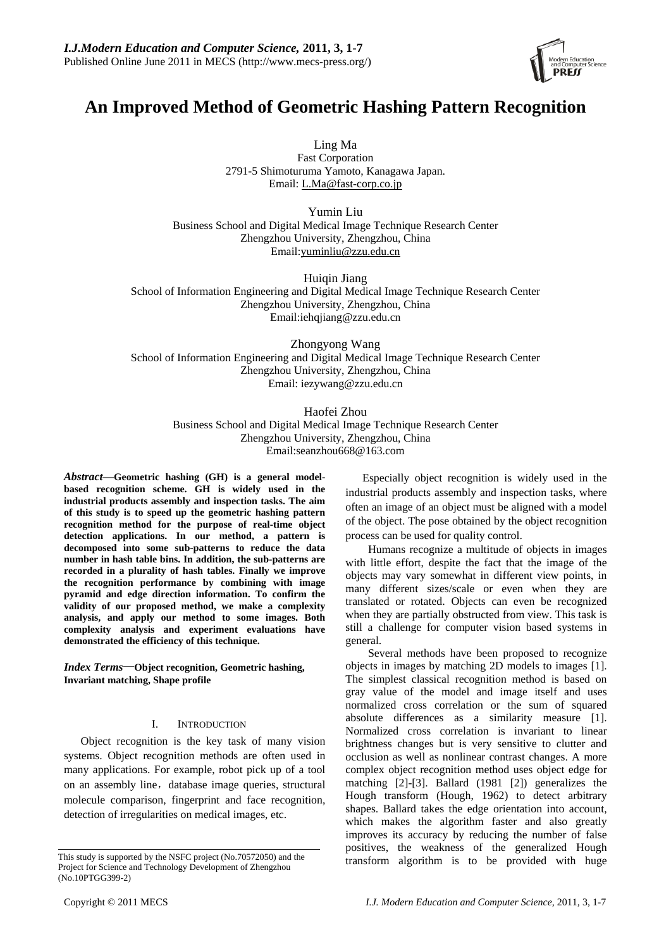

# **An Improved Method of Geometric Hashing Pattern Recognition**

Ling Ma

Fast Corporation 2791-5 Shimoturuma Yamoto, Kanagawa Japan. Email: L.Ma@fast-corp.co.jp

Yumin Liu Business School and Digital Medical Image Technique Research Center Zhengzhou University, Zhengzhou, China Email:yuminliu@zzu.edu.cn

Huiqin Jiang School of Information Engineering and Digital Medical Image Technique Research Center Zhengzhou University, Zhengzhou, China Email:iehqjiang@zzu.edu.cn

Zhongyong Wang School of Information Engineering and Digital Medical Image Technique Research Center Zhengzhou University, Zhengzhou, China Email: iezywang@zzu.edu.cn

> Haofei Zhou Business School and Digital Medical Image Technique Research Center Zhengzhou University, Zhengzhou, China Email:seanzhou668@163.com

*Abstract*—**Geometric hashing (GH) is a general modelbased recognition scheme. GH is widely used in the industrial products assembly and inspection tasks. The aim of this study is to speed up the geometric hashing pattern recognition method for the purpose of real-time object detection applications. In our method, a pattern is decomposed into some sub-patterns to reduce the data number in hash table bins. In addition, the sub-patterns are recorded in a plurality of hash tables. Finally we improve the recognition performance by combining with image pyramid and edge direction information. To confirm the validity of our proposed method, we make a complexity analysis, and apply our method to some images. Both complexity analysis and experiment evaluations have demonstrated the efficiency of this technique.** 

*Index Terms*—**Object recognition, Geometric hashing, Invariant matching, Shape profile** 

# I. INTRODUCTION

Object recognition is the key task of many vision systems. Object recognition methods are often used in many applications. For example, robot pick up of a tool on an assembly line, database image queries, structural molecule comparison, fingerprint and face recognition, detection of irregularities on medical images, etc.

Especially object recognition is widely used in the industrial products assembly and inspection tasks, where often an image of an object must be aligned with a model of the object. The pose obtained by the object recognition process can be used for quality control.

Humans recognize a multitude of objects in images with little effort, despite the fact that the image of the objects may vary somewhat in different view points, in many different sizes/scale or even when they are translated or rotated. Objects can even be recognized when they are partially obstructed from view. This task is still a challenge for computer vision based systems in general.

Several methods have been proposed to recognize objects in images by matching 2D models to images [1]. The simplest classical recognition method is based on gray value of the model and image itself and uses normalized cross correlation or the sum of squared absolute differences as a similarity measure [1]. Normalized cross correlation is invariant to linear brightness changes but is very sensitive to clutter and occlusion as well as nonlinear contrast changes. A more complex object recognition method uses object edge for matching [2]-[3]. Ballard (1981 [2]) generalizes the Hough transform (Hough, 1962) to detect arbitrary shapes. Ballard takes the edge orientation into account, which makes the algorithm faster and also greatly improves its accuracy by reducing the number of false positives, the weakness of the generalized Hough This study is supported by the NSFC project (No.70572050) and the transform algorithm is to be provided with huge

Project for Science and Technology Development of Zhengzhou (No.10PTGG399-2)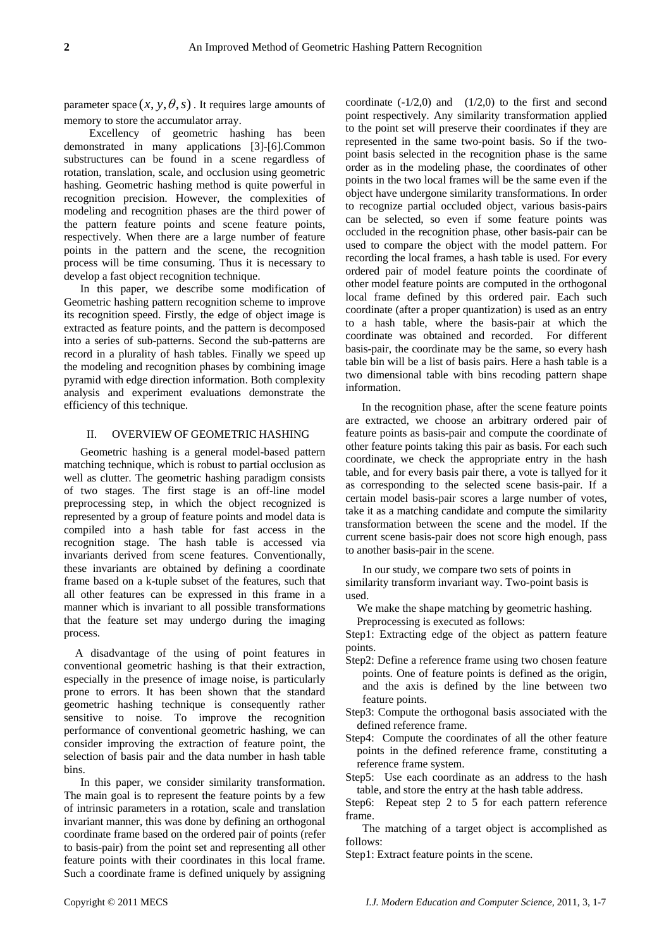parameter space  $(x, y, \theta, s)$ . It requires large amounts of memory to store the accumulator array.

Excellency of geometric hashing has been demonstrated in many applications [3]-[6].Common substructures can be found in a scene regardless of rotation, translation, scale, and occlusion using geometric hashing. Geometric hashing method is quite powerful in recognition precision. However, the complexities of modeling and recognition phases are the third power of the pattern feature points and scene feature points, respectively. When there are a large number of feature points in the pattern and the scene, the recognition process will be time consuming. Thus it is necessary to develop a fast object recognition technique.

In this paper, we describe some modification of Geometric hashing pattern recognition scheme to improve its recognition speed. Firstly, the edge of object image is extracted as feature points, and the pattern is decomposed into a series of sub-patterns. Second the sub-patterns are record in a plurality of hash tables. Finally we speed up the modeling and recognition phases by combining image pyramid with edge direction information. Both complexity analysis and experiment evaluations demonstrate the efficiency of this technique.

## II. OVERVIEW OF GEOMETRIC HASHING

Geometric hashing is a general model-based pattern matching technique, which is robust to partial occlusion as well as clutter. The geometric hashing paradigm consists of two stages. The first stage is an off-line model preprocessing step, in which the object recognized is represented by a group of feature points and model data is compiled into a hash table for fast access in the recognition stage. The hash table is accessed via invariants derived from scene features. Conventionally, these invariants are obtained by defining a coordinate frame based on a k-tuple subset of the features, such that all other features can be expressed in this frame in a manner which is invariant to all possible transformations that the feature set may undergo during the imaging process.

A disadvantage of the using of point features in conventional geometric hashing is that their extraction, especially in the presence of image noise, is particularly prone to errors. It has been shown that the standard geometric hashing technique is consequently rather sensitive to noise. To improve the recognition performance of conventional geometric hashing, we can consider improving the extraction of feature point, the selection of basis pair and the data number in hash table bins.

In this paper, we consider similarity transformation. The main goal is to represent the feature points by a few of intrinsic parameters in a rotation, scale and translation invariant manner, this was done by defining an orthogonal coordinate frame based on the ordered pair of points (refer to basis-pair) from the point set and representing all other feature points with their coordinates in this local frame. Such a coordinate frame is defined uniquely by assigning

coordinate  $(-1/2,0)$  and  $(1/2,0)$  to the first and second point respectively. Any similarity transformation applied to the point set will preserve their coordinates if they are represented in the same two-point basis. So if the twopoint basis selected in the recognition phase is the same order as in the modeling phase, the coordinates of other points in the two local frames will be the same even if the object have undergone similarity transformations. In order to recognize partial occluded object, various basis-pairs can be selected, so even if some feature points was occluded in the recognition phase, other basis-pair can be used to compare the object with the model pattern. For recording the local frames, a hash table is used. For every ordered pair of model feature points the coordinate of other model feature points are computed in the orthogonal local frame defined by this ordered pair. Each such coordinate (after a proper quantization) is used as an entry to a hash table, where the basis-pair at which the coordinate was obtained and recorded. For different basis-pair, the coordinate may be the same, so every hash table bin will be a list of basis pairs. Here a hash table is a two dimensional table with bins recoding pattern shape information.

In the recognition phase, after the scene feature points are extracted, we choose an arbitrary ordered pair of feature points as basis-pair and compute the coordinate of other feature points taking this pair as basis. For each such coordinate, we check the appropriate entry in the hash table, and for every basis pair there, a vote is tallyed for it as corresponding to the selected scene basis-pair. If a certain model basis-pair scores a large number of votes, take it as a matching candidate and compute the similarity transformation between the scene and the model. If the current scene basis-pair does not score high enough, pass to another basis-pair in the scene.

In our study, we compare two sets of points in similarity transform invariant way. Two-point basis is used.

We make the shape matching by geometric hashing. Preprocessing is executed as follows:

Step1: Extracting edge of the object as pattern feature points.

- Step2: Define a reference frame using two chosen feature points. One of feature points is defined as the origin, and the axis is defined by the line between two feature points.
- Step3: Compute the orthogonal basis associated with the defined reference frame.
- Step4: Compute the coordinates of all the other feature points in the defined reference frame, constituting a reference frame system.
- Step5: Use each coordinate as an address to the hash table, and store the entry at the hash table address.
- Step6: Repeat step 2 to 5 for each pattern reference frame.

The matching of a target object is accomplished as follows:

Step1: Extract feature points in the scene.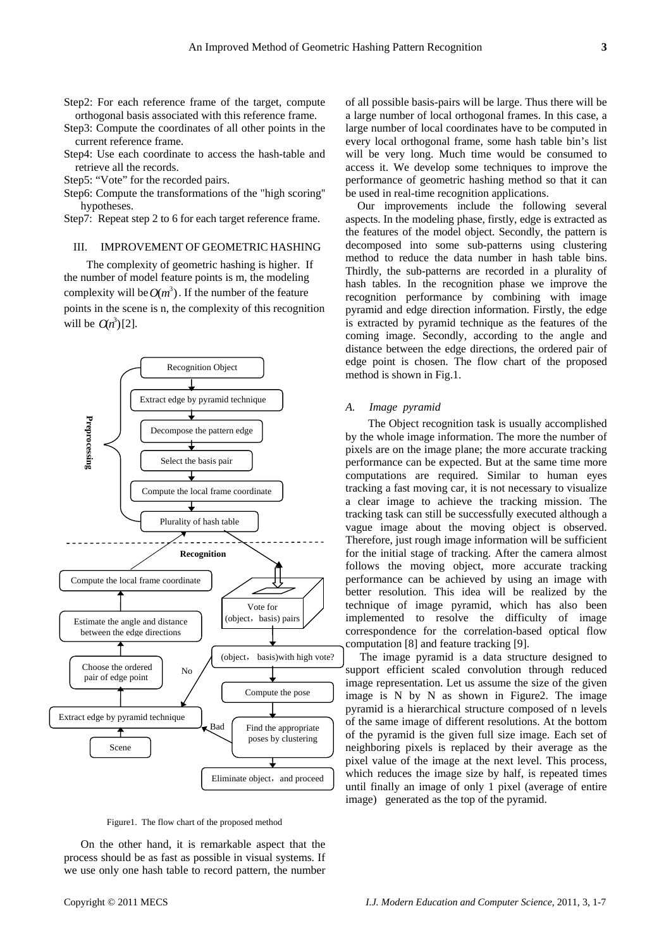- Step2: For each reference frame of the target, compute orthogonal basis associated with this reference frame.
- Step3: Compute the coordinates of all other points in the current reference frame.
- Step4: Use each coordinate to access the hash-table and retrieve all the records.
- Step5: "Vote" for the recorded pairs.
- Step6: Compute the transformations of the "high scoring'' hypotheses.
- Step7: Repeat step 2 to 6 for each target reference frame.

# III. IMPROVEMENT OF GEOMETRIC HASHING

The complexity of geometric hashing is higher. If the number of model feature points is m, the modeling complexity will be  $O(m^3)$ . If the number of the feature points in the scene is n, the complexity of this recognition will be  $O(n^3)[2]$ .



Figure1. The flow chart of the proposed method

On the other hand, it is remarkable aspect that the process should be as fast as possible in visual systems. If we use only one hash table to record pattern, the number

of all possible basis-pairs will be large. Thus there will be a large number of local orthogonal frames. In this case, a large number of local coordinates have to be computed in every local orthogonal frame, some hash table bin's list will be very long. Much time would be consumed to access it. We develop some techniques to improve the performance of geometric hashing method so that it can be used in real-time recognition applications.

Our improvements include the following several aspects. In the modeling phase, firstly, edge is extracted as the features of the model object. Secondly, the pattern is decomposed into some sub-patterns using clustering method to reduce the data number in hash table bins. Thirdly, the sub-patterns are recorded in a plurality of hash tables. In the recognition phase we improve the recognition performance by combining with image pyramid and edge direction information. Firstly, the edge is extracted by pyramid technique as the features of the coming image. Secondly, according to the angle and distance between the edge directions, the ordered pair of edge point is chosen. The flow chart of the proposed method is shown in Fig.1.

#### *A. Image pyramid*

The Object recognition task is usually accomplished by the whole image information. The more the number of pixels are on the image plane; the more accurate tracking performance can be expected. But at the same time more computations are required. Similar to human eyes tracking a fast moving car, it is not necessary to visualize a clear image to achieve the tracking mission. The tracking task can still be successfully executed although a vague image about the moving object is observed. Therefore, just rough image information will be sufficient for the initial stage of tracking. After the camera almost follows the moving object, more accurate tracking performance can be achieved by using an image with better resolution. This idea will be realized by the technique of image pyramid, which has also been implemented to resolve the difficulty of image correspondence for the correlation-based optical flow computation [8] and feature tracking [9].

 The image pyramid is a data structure designed to support efficient scaled convolution through reduced image representation. Let us assume the size of the given image is N by N as shown in Figure2. The image pyramid is a hierarchical structure composed of n levels of the same image of different resolutions. At the bottom of the pyramid is the given full size image. Each set of neighboring pixels is replaced by their average as the pixel value of the image at the next level. This process, which reduces the image size by half, is repeated times until finally an image of only 1 pixel (average of entire image) generated as the top of the pyramid.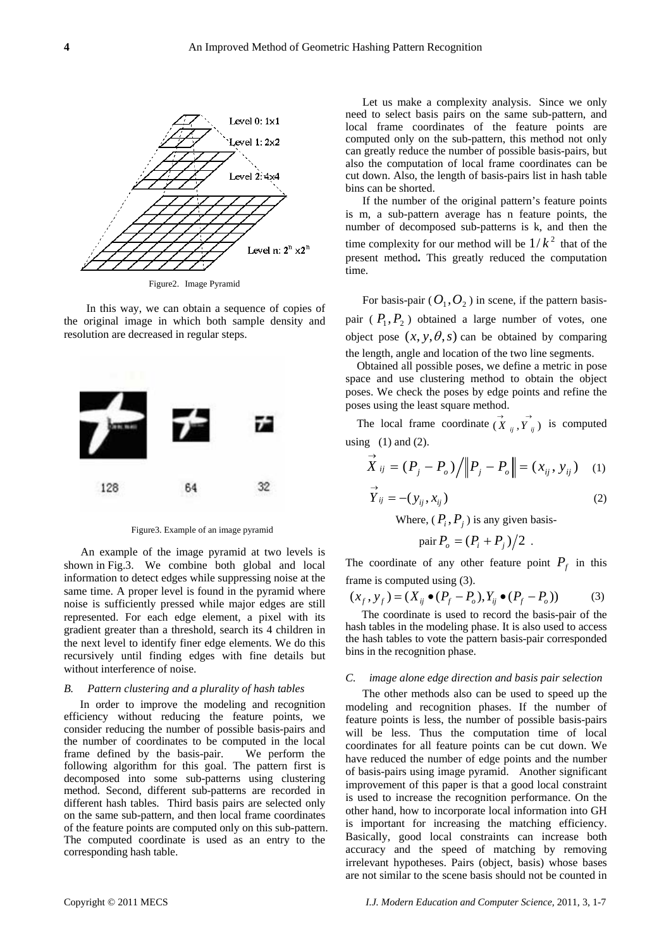

Figure2. Image Pyramid

In this way, we can obtain a sequence of copies of the original image in which both sample density and resolution are decreased in regular steps.



Figure3. Example of an image pyramid

An example of the image pyramid at two levels is shown in Fig.3. We combine both global and local information to detect edges while suppressing noise at the same time. A proper level is found in the pyramid where noise is sufficiently pressed while major edges are still represented. For each edge element, a pixel with its gradient greater than a threshold, search its 4 children in the next level to identify finer edge elements. We do this recursively until finding edges with fine details but without interference of noise.

#### *B. Pattern clustering and a plurality of hash tables*

In order to improve the modeling and recognition efficiency without reducing the feature points, we consider reducing the number of possible basis-pairs and the number of coordinates to be computed in the local frame defined by the basis-pair. We perform the following algorithm for this goal. The pattern first is decomposed into some sub-patterns using clustering method. Second, different sub-patterns are recorded in different hash tables. Third basis pairs are selected only on the same sub-pattern, and then local frame coordinates of the feature points are computed only on this sub-pattern. The computed coordinate is used as an entry to the corresponding hash table.

Let us make a complexity analysis. Since we only need to select basis pairs on the same sub-pattern, and local frame coordinates of the feature points are computed only on the sub-pattern, this method not only can greatly reduce the number of possible basis-pairs, but also the computation of local frame coordinates can be cut down. Also, the length of basis-pairs list in hash table bins can be shorted.

If the number of the original pattern's feature points is m, a sub-pattern average has n feature points, the number of decomposed sub-patterns is k, and then the time complexity for our method will be  $1/k<sup>2</sup>$  that of the present method**.** This greatly reduced the computation time.

For basis-pair  $(O_1, O_2)$  in scene, if the pattern basispair  $(P_1, P_2)$  obtained a large number of votes, one object pose  $(x, y, \theta, s)$  can be obtained by comparing the length, angle and location of the two line segments.

Obtained all possible poses, we define a metric in pose space and use clustering method to obtain the object poses. We check the poses by edge points and refine the poses using the least square method.

The local frame coordinate  $(\vec{X}_{ij}, \vec{Y}_{ij})$  is computed using  $(1)$  and  $(2)$ .

$$
\vec{X}_{ij} = (P_j - P_o) / ||P_j - P_o|| = (x_{ij}, y_{ij})
$$
 (1)

$$
\overrightarrow{Y}_{ij} = -(y_{ij}, x_{ij})
$$
 (2)

Where,  $(P_i, P_j)$  is any given basis-

pair 
$$
P_o = (P_i + P_j)/2
$$
.

The coordinate of any other feature point  $P_f$  in this frame is computed using (3).

$$
(x_f, y_f) = (X_{ij} \bullet (P_f - P_o), Y_{ij} \bullet (P_f - P_o))
$$
 (3)

The coordinate is used to record the basis-pair of the hash tables in the modeling phase. It is also used to access the hash tables to vote the pattern basis-pair corresponded bins in the recognition phase.

## *C. image alone edge direction and basis pair selection*

The other methods also can be used to speed up the modeling and recognition phases. If the number of feature points is less, the number of possible basis-pairs will be less. Thus the computation time of local coordinates for all feature points can be cut down. We have reduced the number of edge points and the number of basis-pairs using image pyramid. Another significant improvement of this paper is that a good local constraint is used to increase the recognition performance. On the other hand, how to incorporate local information into GH is important for increasing the matching efficiency. Basically, good local constraints can increase both accuracy and the speed of matching by removing irrelevant hypotheses. Pairs (object, basis) whose bases are not similar to the scene basis should not be counted in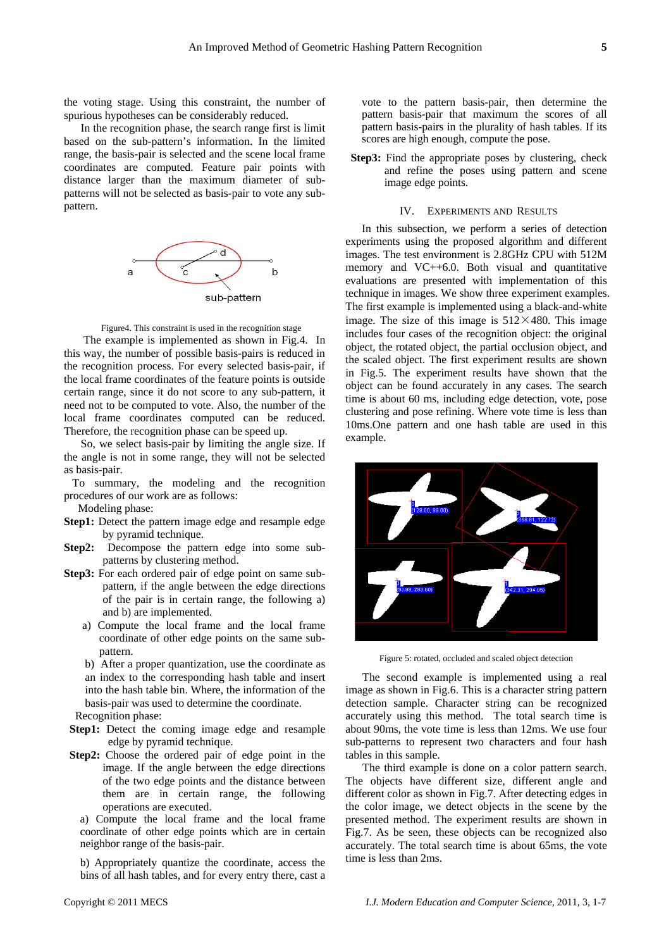the voting stage. Using this constraint, the number of spurious hypotheses can be considerably reduced.

In the recognition phase, the search range first is limit based on the sub-pattern's information. In the limited range, the basis-pair is selected and the scene local frame coordinates are computed. Feature pair points with distance larger than the maximum diameter of subpatterns will not be selected as basis-pair to vote any subpattern.



Figure4. This constraint is used in the recognition stage

The example is implemented as shown in Fig.4. In this way, the number of possible basis-pairs is reduced in the recognition process. For every selected basis-pair, if the local frame coordinates of the feature points is outside certain range, since it do not score to any sub-pattern, it need not to be computed to vote. Also, the number of the local frame coordinates computed can be reduced. Therefore, the recognition phase can be speed up.

So, we select basis-pair by limiting the angle size. If the angle is not in some range, they will not be selected as basis-pair.

 To summary, the modeling and the recognition procedures of our work are as follows:

Modeling phase:

- Step1: Detect the pattern image edge and resample edge by pyramid technique.
- **Step2:** Decompose the pattern edge into some subpatterns by clustering method.
- **Step3:** For each ordered pair of edge point on same subpattern, if the angle between the edge directions of the pair is in certain range, the following a) and b) are implemented.
	- a) Compute the local frame and the local frame coordinate of other edge points on the same subpattern.

b) After a proper quantization, use the coordinate as an index to the corresponding hash table and insert into the hash table bin. Where, the information of the basis-pair was used to determine the coordinate.

Recognition phase:

**Step1:** Detect the coming image edge and resample edge by pyramid technique.

**Step2:** Choose the ordered pair of edge point in the image. If the angle between the edge directions of the two edge points and the distance between them are in certain range, the following operations are executed.

a) Compute the local frame and the local frame coordinate of other edge points which are in certain neighbor range of the basis-pair.

b) Appropriately quantize the coordinate, access the bins of all hash tables, and for every entry there, cast a

vote to the pattern basis-pair, then determine the pattern basis-pair that maximum the scores of all pattern basis-pairs in the plurality of hash tables. If its scores are high enough, compute the pose.

**Step3:** Find the appropriate poses by clustering, check and refine the poses using pattern and scene image edge points.

#### IV. EXPERIMENTS AND RESULTS

In this subsection, we perform a series of detection experiments using the proposed algorithm and different images. The test environment is 2.8GHz CPU with 512M memory and VC++6.0. Both visual and quantitative evaluations are presented with implementation of this technique in images. We show three experiment examples. The first example is implemented using a black-and-white image. The size of this image is  $512 \times 480$ . This image includes four cases of the recognition object: the original object, the rotated object, the partial occlusion object, and the scaled object. The first experiment results are shown in Fig.5. The experiment results have shown that the object can be found accurately in any cases. The search time is about 60 ms, including edge detection, vote, pose clustering and pose refining. Where vote time is less than 10ms.One pattern and one hash table are used in this example.



Figure 5: rotated, occluded and scaled object detection

The second example is implemented using a real image as shown in Fig.6. This is a character string pattern detection sample. Character string can be recognized accurately using this method. The total search time is about 90ms, the vote time is less than 12ms. We use four sub-patterns to represent two characters and four hash tables in this sample.

The third example is done on a color pattern search. The objects have different size, different angle and different color as shown in Fig.7. After detecting edges in the color image, we detect objects in the scene by the presented method. The experiment results are shown in Fig.7. As be seen, these objects can be recognized also accurately. The total search time is about 65ms, the vote time is less than 2ms.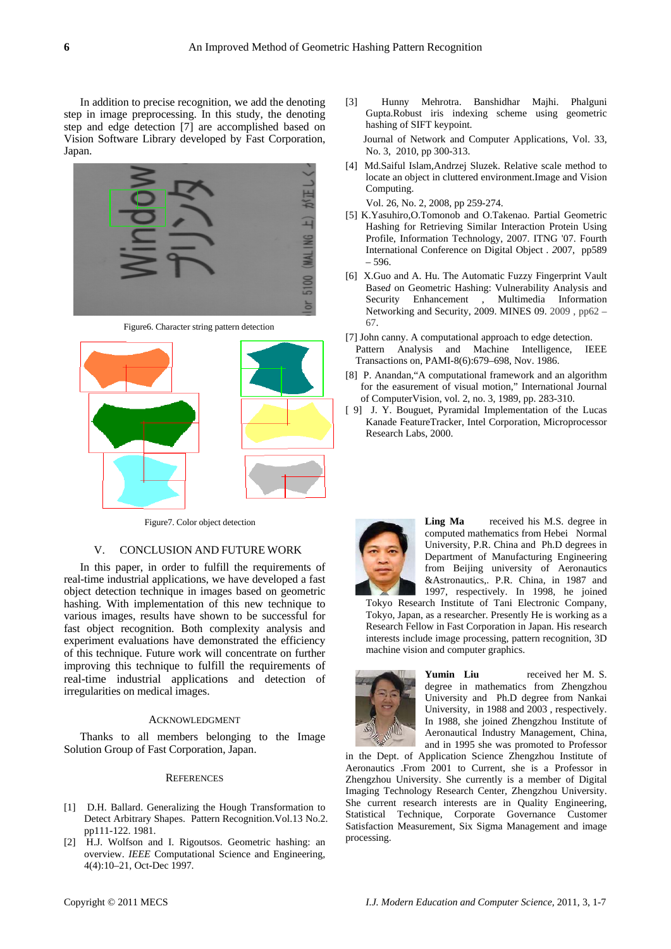In addition to precise recognition, we add the denoting step in image preprocessing. In this study, the denoting step and edge detection [7] are accomplished based on Vision Software Library developed by Fast Corporation, Japan.



Figure6. Character string pattern detection



Figure7. Color object detection

## V. CONCLUSION AND FUTURE WORK

In this paper, in order to fulfill the requirements of real-time industrial applications, we have developed a fast object detection technique in images based on geometric hashing. With implementation of this new technique to various images, results have shown to be successful for fast object recognition. Both complexity analysis and experiment evaluations have demonstrated the efficiency of this technique. Future work will concentrate on further improving this technique to fulfill the requirements of real-time industrial applications and detection of irregularities on medical images.

## ACKNOWLEDGMENT

Thanks to all members belonging to the Image Solution Group of Fast Corporation, Japan.

#### **REFERENCES**

- [1] D.H. Ballard. Generalizing the Hough Transformation to Detect Arbitrary Shapes. Pattern Recognition.Vol.13 No.2. pp111-122. 1981.
- [2] H.J. Wolfson and I. Rigoutsos. Geometric hashing: an overview. *IEEE* Computational Science and Engineering*,* 4(4):10–21, Oct-Dec 1997.
- [3] Hunny Mehrotra. Banshidhar Majhi. Phalguni Gupta.Robust iris indexing scheme using geometric hashing of SIFT keypoint. Journal of Network and Computer Applications, Vol. 33, No. 3, 2010, pp 300-313.
- [4] Md.Saiful Islam,Andrzej Sluzek. Relative scale method to locate an object in cluttered environment.Image and Vision Computing.

Vol. 26, No. 2, 2008, pp 259-274.

- [5] K.Yasuhiro,O.Tomonob and O.Takenao. Partial Geometric Hashing for Retrieving Similar Interaction Protein Using Profile, Information Technology, 2007. ITNG '07. Fourth International Conference on Digital Object *. 2*007, pp589 – 596.
- [6] X.Guo and A. Hu. The Automatic Fuzzy Fingerprint Vault Base*d* on Geometric Hashing: Vulnerability Analysis and Security Enhancement , Multimedia Information Networking and Security, 2009. MINES 09. 2009 , pp62 – 67.
- [7] John canny. A computational approach to edge detection. Pattern Analysis and Machine Intelligence, IEEE Transactions on, PAMI-8(6):679–698, Nov. 1986.
- [8] P. Anandan,"A computational framework and an algorithm for the easurement of visual motion," International Journal of ComputerVision, vol. 2, no. 3, 1989, pp. 283-310.
- [ 9] J. Y. Bouguet, Pyramidal Implementation of the Lucas Kanade FeatureTracker, Intel Corporation, Microprocessor Research Labs, 2000.



Ling Ma received his M.S. degree in computed mathematics from Hebei Normal University, P.R. China and Ph.D degrees in Department of Manufacturing Engineering from Beijing university of Aeronautics &Astronautics,. P.R. China, in 1987 and 1997, respectively. In 1998, he joined

Tokyo Research Institute of Tani Electronic Company, Tokyo, Japan, as a researcher. Presently He is working as a Research Fellow in Fast Corporation in Japan. His research interests include image processing, pattern recognition, 3D machine vision and computer graphics.



**Yumin Liu** received her M. S. degree in mathematics from Zhengzhou University and Ph.D degree from Nankai University, in 1988 and 2003 , respectively. In 1988, she joined Zhengzhou Institute of Aeronautical Industry Management, China, and in 1995 she was promoted to Professor

in the Dept. of Application Science Zhengzhou Institute of Aeronautics .From 2001 to Current, she is a Professor in Zhengzhou University. She currently is a member of Digital Imaging Technology Research Center, Zhengzhou University. She current research interests are in Quality Engineering, Statistical Technique, Corporate Governance Customer Satisfaction Measurement, Six Sigma Management and image processing.